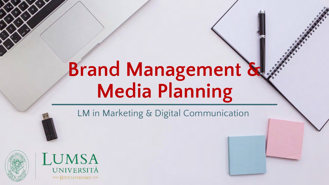### **Brand Management & Media Planning**

LM in Marketing & Digital Communication



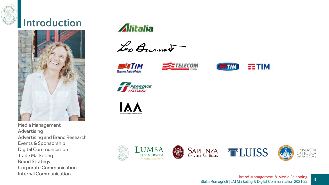

#### **Introduction**



Media Management Advertising Advertising and Brand Research Events & Sponsorship Digital Communication Trade Marketing Brand Strategy Corporate Communication Internal Communication

Alitalia

Les Burnet









**FERROVIE** 

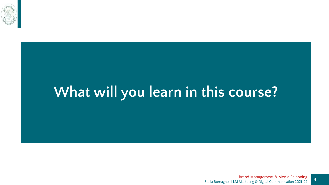

### **What will you learn in this course?**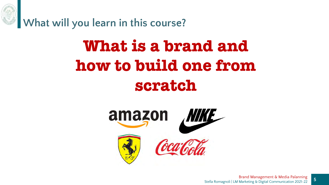

### **What is a brand and how to build one from scratch**

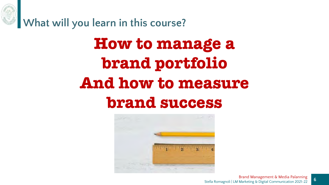

**What will you learn in this course?**

### **How to manage a brand portfolio And how to measure brand success**

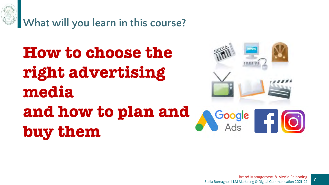

**What will you learn in this course?**

**How to choose the right advertising media and how to plan and buy them**

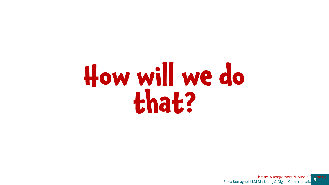## **How will we do that?**

**Stella Romagnoli | LM Marketing & Digital Communicatio** Brand Management & Media Palanning

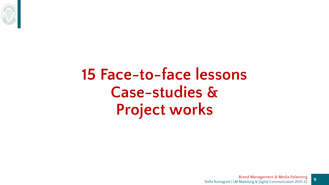

### **15 Face-to-face lessons Case-studies & Project works**

**9**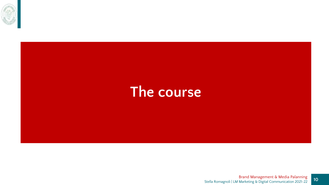

#### **The course**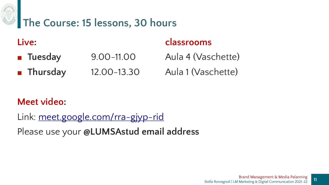

#### **The Course: 15 lessons, 30 hours**

- **Tuesday** 9.00–11.00 Aula 4 (Vaschette)
- **Thursday** 12.00-13.30 Aula 1 (Vaschette)

#### **Live: classrooms**

#### **Meet video:**

Link: [meet.google.com/rra-gjyp-rid](https://meet.google.com/rra-gjyp-rid) Please use your **@LUMSAstud email address**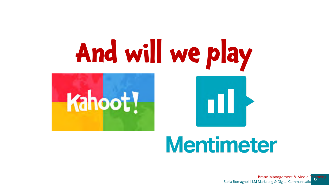

### **Mentimeter**

**12** Stella Romagnoli | LM Marketing & Digital Communicatio Brand Management & Media Palanning

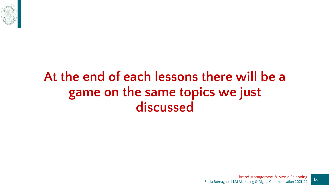

#### **At the end of each lessons there will be a game on the same topics we just discussed**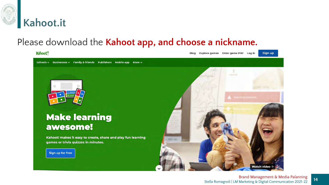

#### Please download the **Kahoot app, and choose a nickname.**

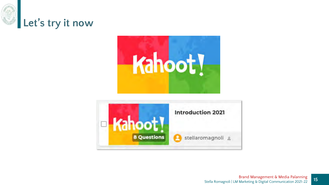



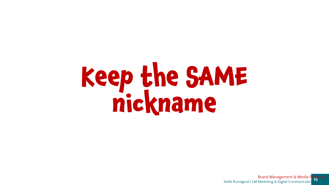# **Keep the SAME nickname**

**16** Brand Management & Media Palanning<br>16 Stella Romagnoli | LM Marketing & Digital Communicatio Brand Management & Media P

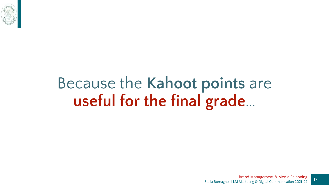

### Because the **Kahoot points** are **useful for the final grade**…

**17**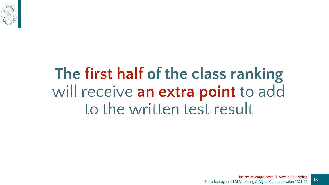

### **The first half of the class ranking**  will receive **an extra point** to add to the written test result

**18**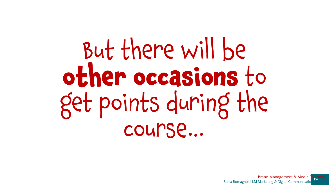But there will be **other occasions** to get points during the course…

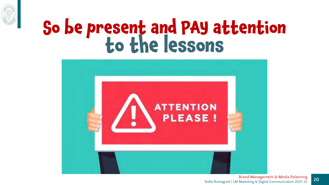

### **So be present and PAY attention to the lessons**



Stella Romagnoli | LM Marketing & Digital Communication 2021-22 Brand Management & Media Palanning

**20**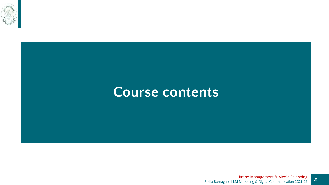

#### **Course contents**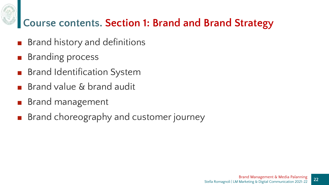

#### **Course contents. Section 1: Brand and Brand Strategy**

- Brand history and definitions
- Branding process
- Brand Identification System
- Brand value & brand audit
- Brand management
- Brand choreography and customer journey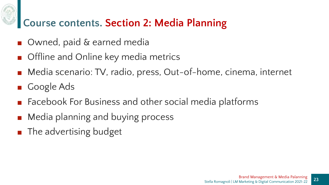#### **Course contents. Section 2: Media Planning**

- Owned, paid & earned media
- Offline and Online key media metrics
- Media scenario: TV, radio, press, Out-of-home, cinema, internet
- Google Ads
- Facebook For Business and other social media platforms
- Media planning and buying process
- The advertising budget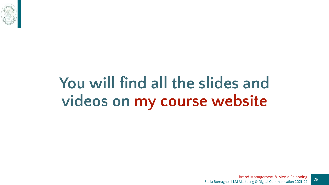

### **You will find all the slides and videos on my course website**

**25**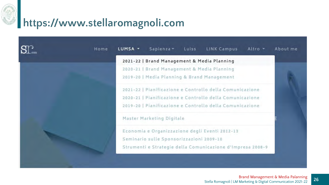

## **https://www.stellaromagnoli.com**

| Home | LUMSA -                                                    | Sapienza v<br>Luiss                         | LINK Campus                                              | Altro - | About me |
|------|------------------------------------------------------------|---------------------------------------------|----------------------------------------------------------|---------|----------|
|      |                                                            | 2021-22   Brand Management & Media Planning |                                                          |         |          |
|      | 2020-21   Brand Management & Media Planning                |                                             |                                                          |         |          |
|      |                                                            | 2019-20   Media Planning & Brand Management |                                                          |         |          |
|      | 2021-22   Pianificazione e Controllo della Comunicazione   |                                             |                                                          |         |          |
|      |                                                            |                                             | 2020-21   Pianificazione e Controllo della Comunicazione |         |          |
|      |                                                            |                                             | 2019-20   Pianificazione e Controllo della Comunicazione |         |          |
|      | Master Marketing Digitale                                  |                                             |                                                          |         |          |
|      |                                                            |                                             | Economia e Organizzazione degli Eventi 2012-13           |         |          |
|      |                                                            | Seminario sulle Sponsorizzazioni 2009-10    |                                                          |         |          |
|      | Strumenti e Strategie della Comunicazione d'Impresa 2008-9 |                                             |                                                          |         |          |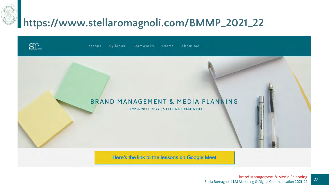#### **https://www.stellaromagnoli.com/BMMP\_2021\_22**

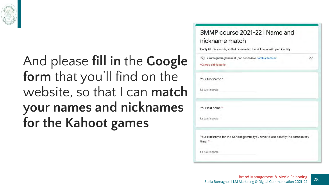

#### And please **fill in** the **Google form** that you'll find on the website, so that I can **match your names and nicknames for the Kahoot games**

| BMMP course 2021-22   Name and<br>nickname match                                      |   |
|---------------------------------------------------------------------------------------|---|
| kindly fill this module, so that I can match the nickname with your identity          |   |
| s.romagnoli2@lumsa.it (non condiviso) Cambia account<br>*Campo obbligatorio           | ∞ |
| Your first name *                                                                     |   |
| La tua risposta                                                                       |   |
| Your last name *                                                                      |   |
| La tua risposta                                                                       |   |
| Your Nickname for the Kahoot games (you have to use exactly the same every<br>time) * |   |
| La tua risposta                                                                       |   |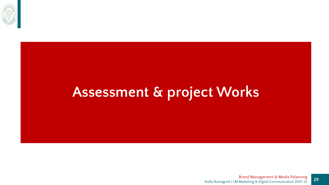

### **Assessment & project Works**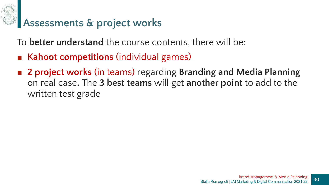

#### **Assessments & project works**

To **better understand** the course contents, there will be:

- **Kahoot competitions** (individual games)
- 2 **project works** (in teams) regarding **Branding** and Media Planning on real case**.** The **3 best teams** will get **another point** to add to the written test grade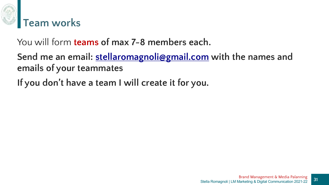

You will form **teams of max 7-8 members each.**

**Send me an email: [stellaromagnoli@gmail.com](mailto:stellaromagnoli@gmail.com) with the names and emails of your teammates**

**If you don't have a team I will create it for you.**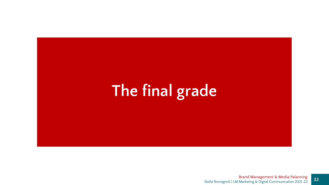### **The final grade**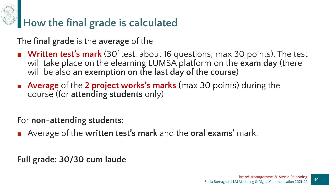

#### **How the final grade is calculated**

The **final grade** is the **average** of the

- **Written test's mark** (30' test, about 16 questions, max 30 points). The test will take place on the elearning LUMSA platform on the **exam day** (there will be also **an exemption on the last day of the course**)
- **Average** of the 2 project works's marks (max 30 points) during the course (for **attending students** only)

For **non-attending students**:

■ Average of the written test's mark and the oral exams' mark.

**Full grade: 30/30 cum laude**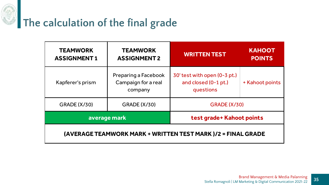

| <b>TEAMWORK</b><br><b>ASSIGNMENT1</b>                       | <b>TEAMWORK</b><br><b>ASSIGNMENT 2</b>                 | <b>WRITTEN TEST</b>                                               | <b>KAHOOT</b><br><b>POINTS</b> |  |  |  |
|-------------------------------------------------------------|--------------------------------------------------------|-------------------------------------------------------------------|--------------------------------|--|--|--|
| Kapferer's prism                                            | Preparing a Facebook<br>Campaign for a real<br>company | 30' test with open (0-3 pt.)<br>and closed (0-1 pt.)<br>questions | + Kahoot points                |  |  |  |
| <b>GRADE (X/30)</b>                                         | <b>GRADE (X/30)</b>                                    | <b>GRADE (X/30)</b>                                               |                                |  |  |  |
| average mark                                                |                                                        | test grade+ Kahoot points                                         |                                |  |  |  |
| (AVERAGE TEAMWORK MARK + WRITTEN TEST MARK)/2 = FINAL GRADE |                                                        |                                                                   |                                |  |  |  |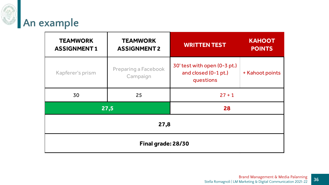

| <b>TEAMWORK</b><br><b>ASSIGNMENT1</b> | <b>TEAMWORK</b><br><b>ASSIGNMENT 2</b> | <b>WRITTEN TEST</b>                                               | <b>KAHOOT</b><br><b>POINTS</b> |  |  |  |
|---------------------------------------|----------------------------------------|-------------------------------------------------------------------|--------------------------------|--|--|--|
| Kapferer's prism                      | Preparing a Facebook<br>Campaign       | 30' test with open (0-3 pt.)<br>and closed (0-1 pt.)<br>questions | + Kahoot points                |  |  |  |
| 30                                    | 25                                     | $27 + 1$                                                          |                                |  |  |  |
|                                       | 27,5                                   | 28                                                                |                                |  |  |  |
| 27,8                                  |                                        |                                                                   |                                |  |  |  |
| Final grade: 28/30                    |                                        |                                                                   |                                |  |  |  |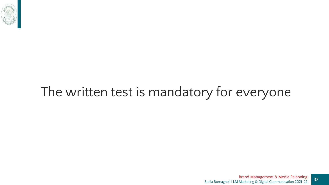

#### The written test is mandatory for everyone